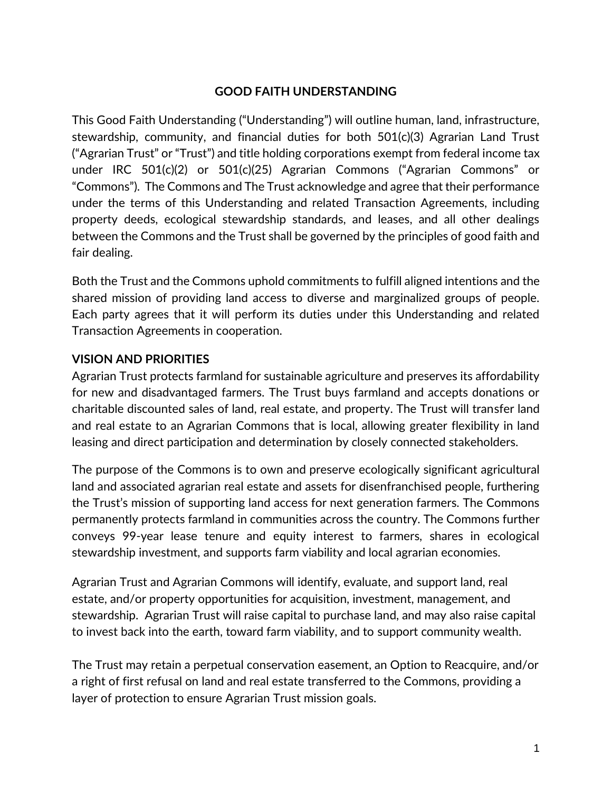#### **GOOD FAITH UNDERSTANDING**

This Good Faith Understanding ("Understanding") will outline human, land, infrastructure, stewardship, community, and financial duties for both 501(c)(3) Agrarian Land Trust ("Agrarian Trust" or "Trust") and title holding corporations exempt from federal income tax under IRC 501(c)(2) or 501(c)(25) Agrarian Commons ("Agrarian Commons" or "Commons"). The Commons and The Trust acknowledge and agree that their performance under the terms of this Understanding and related Transaction Agreements, including property deeds, ecological stewardship standards, and leases, and all other dealings between the Commons and the Trust shall be governed by the principles of good faith and fair dealing.

Both the Trust and the Commons uphold commitments to fulfill aligned intentions and the shared mission of providing land access to diverse and marginalized groups of people. Each party agrees that it will perform its duties under this Understanding and related Transaction Agreements in cooperation.

#### **VISION AND PRIORITIES**

Agrarian Trust protects farmland for sustainable agriculture and preserves its affordability for new and disadvantaged farmers. The Trust buys farmland and accepts donations or charitable discounted sales of land, real estate, and property. The Trust will transfer land and real estate to an Agrarian Commons that is local, allowing greater flexibility in land leasing and direct participation and determination by closely connected stakeholders.

The purpose of the Commons is to own and preserve ecologically significant agricultural land and associated agrarian real estate and assets for disenfranchised people, furthering the Trust's mission of supporting land access for next generation farmers. The Commons permanently protects farmland in communities across the country. The Commons further conveys 99-year lease tenure and equity interest to farmers, shares in ecological stewardship investment, and supports farm viability and local agrarian economies.

Agrarian Trust and Agrarian Commons will identify, evaluate, and support land, real estate, and/or property opportunities for acquisition, investment, management, and stewardship. Agrarian Trust will raise capital to purchase land, and may also raise capital to invest back into the earth, toward farm viability, and to support community wealth.

The Trust may retain a perpetual conservation easement, an Option to Reacquire, and/or a right of first refusal on land and real estate transferred to the Commons, providing a layer of protection to ensure Agrarian Trust mission goals.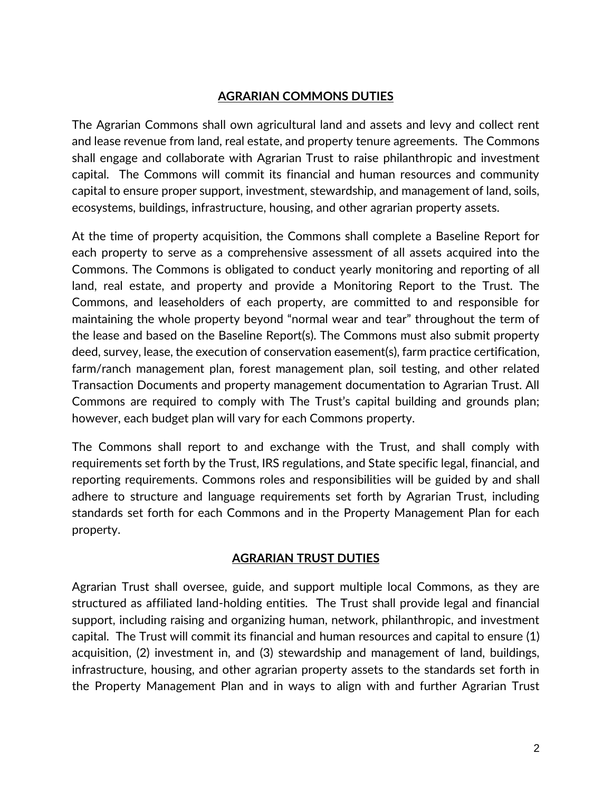#### **AGRARIAN COMMONS DUTIES**

The Agrarian Commons shall own agricultural land and assets and levy and collect rent and lease revenue from land, real estate, and property tenure agreements. The Commons shall engage and collaborate with Agrarian Trust to raise philanthropic and investment capital. The Commons will commit its financial and human resources and community capital to ensure proper support, investment, stewardship, and management of land, soils, ecosystems, buildings, infrastructure, housing, and other agrarian property assets.

At the time of property acquisition, the Commons shall complete a Baseline Report for each property to serve as a comprehensive assessment of all assets acquired into the Commons. The Commons is obligated to conduct yearly monitoring and reporting of all land, real estate, and property and provide a Monitoring Report to the Trust. The Commons, and leaseholders of each property, are committed to and responsible for maintaining the whole property beyond "normal wear and tear" throughout the term of the lease and based on the Baseline Report(s). The Commons must also submit property deed, survey, lease, the execution of conservation easement(s), farm practice certification, farm/ranch management plan, forest management plan, soil testing, and other related Transaction Documents and property management documentation to Agrarian Trust. All Commons are required to comply with The Trust's capital building and grounds plan; however, each budget plan will vary for each Commons property.

The Commons shall report to and exchange with the Trust, and shall comply with requirements set forth by the Trust, IRS regulations, and State specific legal, financial, and reporting requirements. Commons roles and responsibilities will be guided by and shall adhere to structure and language requirements set forth by Agrarian Trust, including standards set forth for each Commons and in the Property Management Plan for each property.

#### **AGRARIAN TRUST DUTIES**

Agrarian Trust shall oversee, guide, and support multiple local Commons, as they are structured as affiliated land-holding entities. The Trust shall provide legal and financial support, including raising and organizing human, network, philanthropic, and investment capital. The Trust will commit its financial and human resources and capital to ensure (1) acquisition, (2) investment in, and (3) stewardship and management of land, buildings, infrastructure, housing, and other agrarian property assets to the standards set forth in the Property Management Plan and in ways to align with and further Agrarian Trust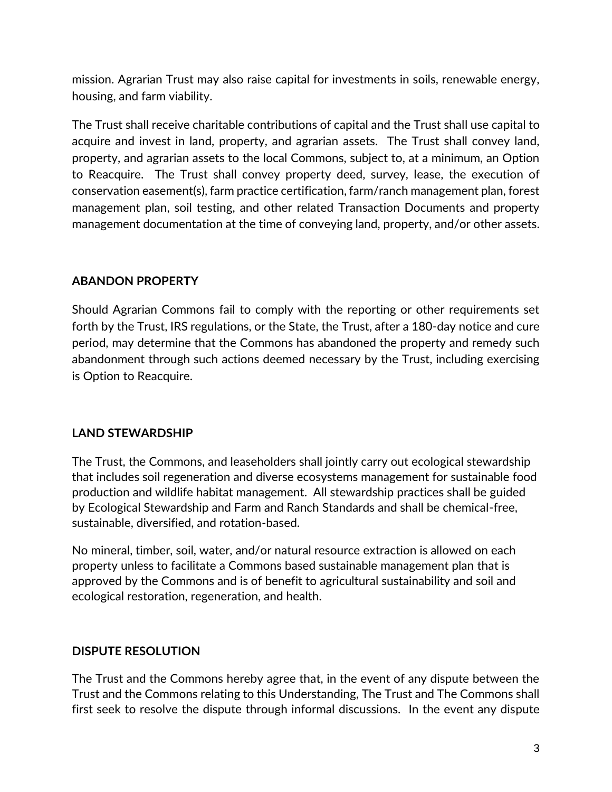mission. Agrarian Trust may also raise capital for investments in soils, renewable energy, housing, and farm viability.

The Trust shall receive charitable contributions of capital and the Trust shall use capital to acquire and invest in land, property, and agrarian assets. The Trust shall convey land, property, and agrarian assets to the local Commons, subject to, at a minimum, an Option to Reacquire. The Trust shall convey property deed, survey, lease, the execution of conservation easement(s), farm practice certification, farm/ranch management plan, forest management plan, soil testing, and other related Transaction Documents and property management documentation at the time of conveying land, property, and/or other assets.

### **ABANDON PROPERTY**

Should Agrarian Commons fail to comply with the reporting or other requirements set forth by the Trust, IRS regulations, or the State, the Trust, after a 180-day notice and cure period, may determine that the Commons has abandoned the property and remedy such abandonment through such actions deemed necessary by the Trust, including exercising is Option to Reacquire.

## **LAND STEWARDSHIP**

The Trust, the Commons, and leaseholders shall jointly carry out ecological stewardship that includes soil regeneration and diverse ecosystems management for sustainable food production and wildlife habitat management. All stewardship practices shall be guided by Ecological Stewardship and Farm and Ranch Standards and shall be chemical-free, sustainable, diversified, and rotation-based.

No mineral, timber, soil, water, and/or natural resource extraction is allowed on each property unless to facilitate a Commons based sustainable management plan that is approved by the Commons and is of benefit to agricultural sustainability and soil and ecological restoration, regeneration, and health.

## **DISPUTE RESOLUTION**

The Trust and the Commons hereby agree that, in the event of any dispute between the Trust and the Commons relating to this Understanding, The Trust and The Commons shall first seek to resolve the dispute through informal discussions. In the event any dispute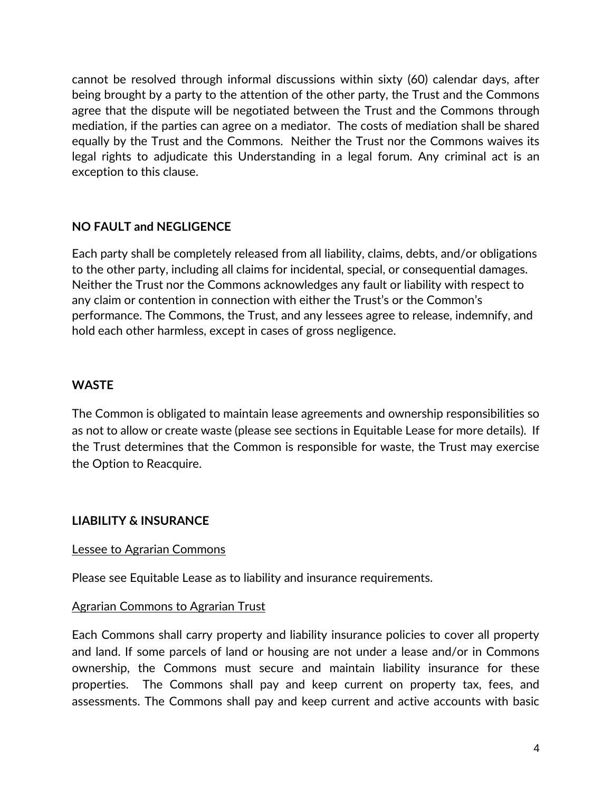cannot be resolved through informal discussions within sixty (60) calendar days, after being brought by a party to the attention of the other party, the Trust and the Commons agree that the dispute will be negotiated between the Trust and the Commons through mediation, if the parties can agree on a mediator. The costs of mediation shall be shared equally by the Trust and the Commons. Neither the Trust nor the Commons waives its legal rights to adjudicate this Understanding in a legal forum. Any criminal act is an exception to this clause.

### **NO FAULT and NEGLIGENCE**

Each party shall be completely released from all liability, claims, debts, and/or obligations to the other party, including all claims for incidental, special, or consequential damages. Neither the Trust nor the Commons acknowledges any fault or liability with respect to any claim or contention in connection with either the Trust's or the Common's performance. The Commons, the Trust, and any lessees agree to release, indemnify, and hold each other harmless, except in cases of gross negligence.

#### **WASTE**

The Common is obligated to maintain lease agreements and ownership responsibilities so as not to allow or create waste (please see sections in Equitable Lease for more details). If the Trust determines that the Common is responsible for waste, the Trust may exercise the Option to Reacquire.

#### **LIABILITY & INSURANCE**

#### Lessee to Agrarian Commons

Please see Equitable Lease as to liability and insurance requirements.

#### Agrarian Commons to Agrarian Trust

Each Commons shall carry property and liability insurance policies to cover all property and land. If some parcels of land or housing are not under a lease and/or in Commons ownership, the Commons must secure and maintain liability insurance for these properties. The Commons shall pay and keep current on property tax, fees, and assessments. The Commons shall pay and keep current and active accounts with basic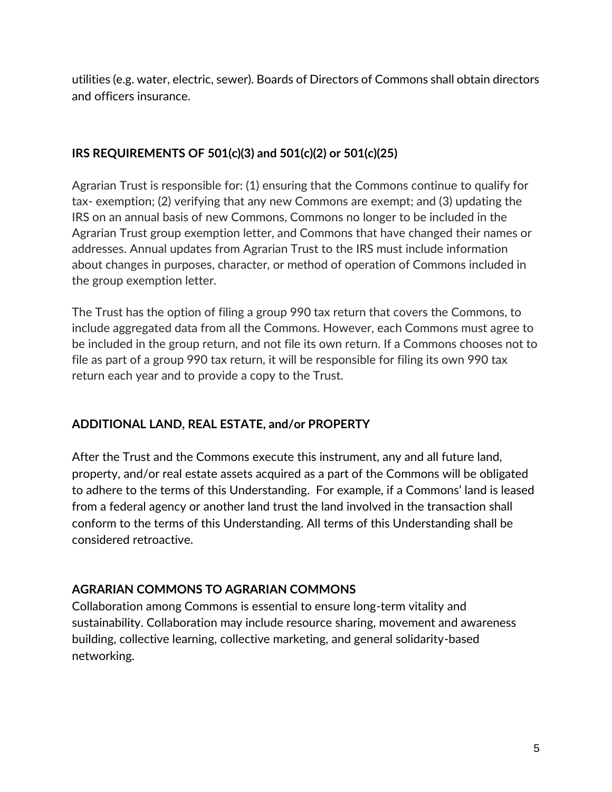utilities (e.g. water, electric, sewer). Boards of Directors of Commons shall obtain directors and officers insurance.

## **IRS REQUIREMENTS OF 501(c)(3) and 501(c)(2) or 501(c)(25)**

Agrarian Trust is responsible for: (1) ensuring that the Commons continue to qualify for tax- exemption; (2) verifying that any new Commons are exempt; and (3) updating the IRS on an annual basis of new Commons, Commons no longer to be included in the Agrarian Trust group exemption letter, and Commons that have changed their names or addresses. Annual updates from Agrarian Trust to the IRS must include information about changes in purposes, character, or method of operation of Commons included in the group exemption letter.

The Trust has the option of filing a group 990 tax return that covers the Commons, to include aggregated data from all the Commons. However, each Commons must agree to be included in the group return, and not file its own return. If a Commons chooses not to file as part of a group 990 tax return, it will be responsible for filing its own 990 tax return each year and to provide a copy to the Trust.

# **ADDITIONAL LAND, REAL ESTATE, and/or PROPERTY**

After the Trust and the Commons execute this instrument, any and all future land, property, and/or real estate assets acquired as a part of the Commons will be obligated to adhere to the terms of this Understanding. For example, if a Commons' land is leased from a federal agency or another land trust the land involved in the transaction shall conform to the terms of this Understanding. All terms of this Understanding shall be considered retroactive.

# **AGRARIAN COMMONS TO AGRARIAN COMMONS**

Collaboration among Commons is essential to ensure long-term vitality and sustainability. Collaboration may include resource sharing, movement and awareness building, collective learning, collective marketing, and general solidarity-based networking.